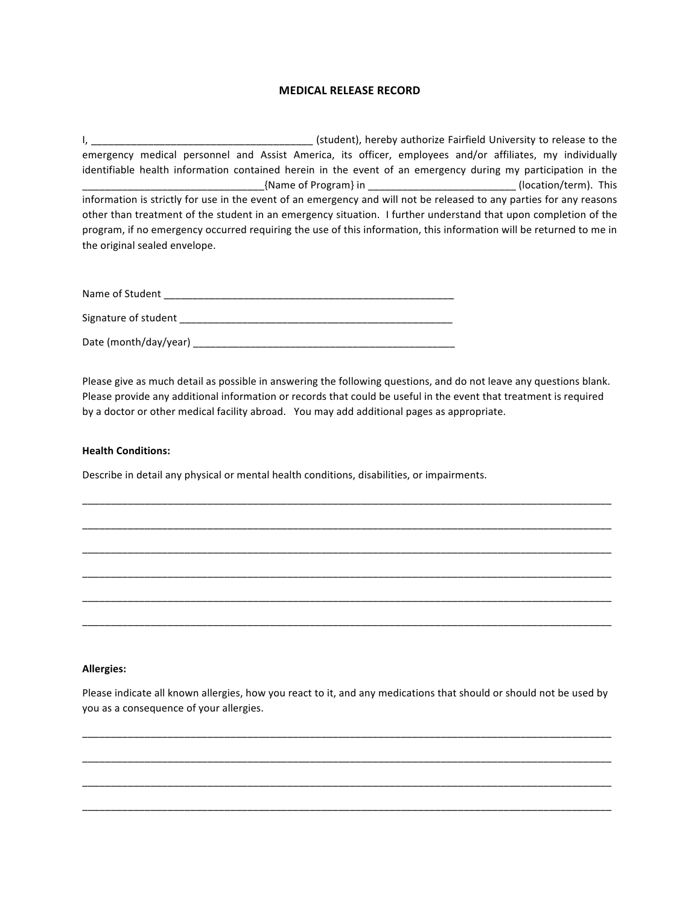## **MEDICAL RELEASE RECORD**

I, \_\_\_\_\_\_\_\_\_\_\_\_\_\_\_\_\_\_\_\_\_\_\_\_\_\_\_\_\_\_\_\_\_\_\_\_\_\_\_ (student), hereby authorize Fairfield University to release to the emergency medical personnel and Assist America, its officer, employees and/or affiliates, my individually identifiable health information contained herein in the event of an emergency during my participation in the \_\_\_\_\_\_\_\_\_\_\_\_\_\_\_\_\_\_\_\_\_\_\_\_\_\_\_\_\_\_\_\_{Name of Program} in \_\_\_\_\_\_\_\_\_\_\_\_\_\_\_\_\_\_\_\_\_\_\_\_\_\_ (location/term). This information is strictly for use in the event of an emergency and will not be released to any parties for any reasons other than treatment of the student in an emergency situation. I further understand that upon completion of the program, if no emergency occurred requiring the use of this information, this information will be returned to me in the original sealed envelope.

| Name of Student       |
|-----------------------|
| Signature of student  |
| Date (month/day/year) |

Please give as much detail as possible in answering the following questions, and do not leave any questions blank. Please provide any additional information or records that could be useful in the event that treatment is required by a doctor or other medical facility abroad. You may add additional pages as appropriate.

\_\_\_\_\_\_\_\_\_\_\_\_\_\_\_\_\_\_\_\_\_\_\_\_\_\_\_\_\_\_\_\_\_\_\_\_\_\_\_\_\_\_\_\_\_\_\_\_\_\_\_\_\_\_\_\_\_\_\_\_\_\_\_\_\_\_\_\_\_\_\_\_\_\_\_\_\_\_\_\_\_\_\_\_\_\_\_\_\_\_\_\_\_

\_\_\_\_\_\_\_\_\_\_\_\_\_\_\_\_\_\_\_\_\_\_\_\_\_\_\_\_\_\_\_\_\_\_\_\_\_\_\_\_\_\_\_\_\_\_\_\_\_\_\_\_\_\_\_\_\_\_\_\_\_\_\_\_\_\_\_\_\_\_\_\_\_\_\_\_\_\_\_\_\_\_\_\_\_\_\_\_\_\_\_\_\_

\_\_\_\_\_\_\_\_\_\_\_\_\_\_\_\_\_\_\_\_\_\_\_\_\_\_\_\_\_\_\_\_\_\_\_\_\_\_\_\_\_\_\_\_\_\_\_\_\_\_\_\_\_\_\_\_\_\_\_\_\_\_\_\_\_\_\_\_\_\_\_\_\_\_\_\_\_\_\_\_\_\_\_\_\_\_\_\_\_\_\_\_\_

\_\_\_\_\_\_\_\_\_\_\_\_\_\_\_\_\_\_\_\_\_\_\_\_\_\_\_\_\_\_\_\_\_\_\_\_\_\_\_\_\_\_\_\_\_\_\_\_\_\_\_\_\_\_\_\_\_\_\_\_\_\_\_\_\_\_\_\_\_\_\_\_\_\_\_\_\_\_\_\_\_\_\_\_\_\_\_\_\_\_\_\_\_

\_\_\_\_\_\_\_\_\_\_\_\_\_\_\_\_\_\_\_\_\_\_\_\_\_\_\_\_\_\_\_\_\_\_\_\_\_\_\_\_\_\_\_\_\_\_\_\_\_\_\_\_\_\_\_\_\_\_\_\_\_\_\_\_\_\_\_\_\_\_\_\_\_\_\_\_\_\_\_\_\_\_\_\_\_\_\_\_\_\_\_\_\_

\_\_\_\_\_\_\_\_\_\_\_\_\_\_\_\_\_\_\_\_\_\_\_\_\_\_\_\_\_\_\_\_\_\_\_\_\_\_\_\_\_\_\_\_\_\_\_\_\_\_\_\_\_\_\_\_\_\_\_\_\_\_\_\_\_\_\_\_\_\_\_\_\_\_\_\_\_\_\_\_\_\_\_\_\_\_\_\_\_\_\_\_\_

## **Health Conditions:**

Describe in detail any physical or mental health conditions, disabilities, or impairments.

## **Allergies:**

Please indicate all known allergies, how you react to it, and any medications that should or should not be used by you as a consequence of your allergies.

\_\_\_\_\_\_\_\_\_\_\_\_\_\_\_\_\_\_\_\_\_\_\_\_\_\_\_\_\_\_\_\_\_\_\_\_\_\_\_\_\_\_\_\_\_\_\_\_\_\_\_\_\_\_\_\_\_\_\_\_\_\_\_\_\_\_\_\_\_\_\_\_\_\_\_\_\_\_\_\_\_\_\_\_\_\_\_\_\_\_\_\_\_

\_\_\_\_\_\_\_\_\_\_\_\_\_\_\_\_\_\_\_\_\_\_\_\_\_\_\_\_\_\_\_\_\_\_\_\_\_\_\_\_\_\_\_\_\_\_\_\_\_\_\_\_\_\_\_\_\_\_\_\_\_\_\_\_\_\_\_\_\_\_\_\_\_\_\_\_\_\_\_\_\_\_\_\_\_\_\_\_\_\_\_\_\_

\_\_\_\_\_\_\_\_\_\_\_\_\_\_\_\_\_\_\_\_\_\_\_\_\_\_\_\_\_\_\_\_\_\_\_\_\_\_\_\_\_\_\_\_\_\_\_\_\_\_\_\_\_\_\_\_\_\_\_\_\_\_\_\_\_\_\_\_\_\_\_\_\_\_\_\_\_\_\_\_\_\_\_\_\_\_\_\_\_\_\_\_\_

\_\_\_\_\_\_\_\_\_\_\_\_\_\_\_\_\_\_\_\_\_\_\_\_\_\_\_\_\_\_\_\_\_\_\_\_\_\_\_\_\_\_\_\_\_\_\_\_\_\_\_\_\_\_\_\_\_\_\_\_\_\_\_\_\_\_\_\_\_\_\_\_\_\_\_\_\_\_\_\_\_\_\_\_\_\_\_\_\_\_\_\_\_